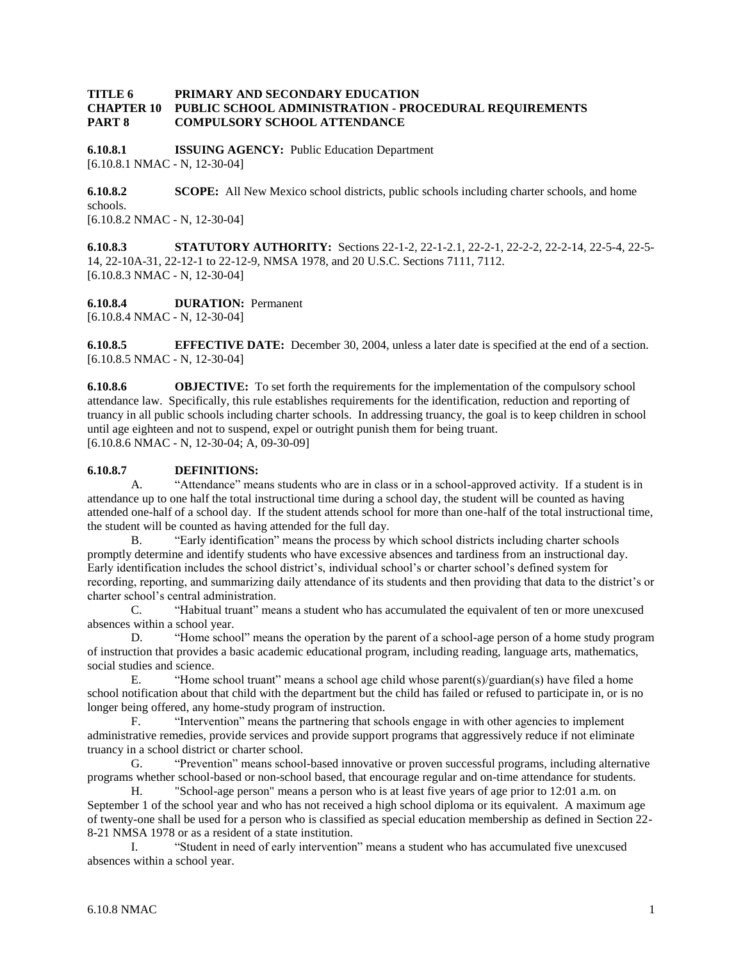## **TITLE 6 PRIMARY AND SECONDARY EDUCATION CHAPTER 10 PUBLIC SCHOOL ADMINISTRATION - PROCEDURAL REQUIREMENTS PART 8 COMPULSORY SCHOOL ATTENDANCE**

**6.10.8.1 ISSUING AGENCY:** Public Education Department [6.10.8.1 NMAC - N, 12-30-04]

**6.10.8.2 SCOPE:** All New Mexico school districts, public schools including charter schools, and home schools. [6.10.8.2 NMAC - N, 12-30-04]

**6.10.8.3 STATUTORY AUTHORITY:** Sections 22-1-2, 22-1-2.1, 22-2-1, 22-2-2, 22-2-14, 22-5-4, 22-5- 14, 22-10A-31, 22-12-1 to 22-12-9, NMSA 1978, and 20 U.S.C. Sections 7111, 7112. [6.10.8.3 NMAC - N, 12-30-04]

**6.10.8.4 DURATION:** Permanent [6.10.8.4 NMAC - N, 12-30-04]

**6.10.8.5 EFFECTIVE DATE:** December 30, 2004, unless a later date is specified at the end of a section. [6.10.8.5 NMAC - N, 12-30-04]

**6.10.8.6 OBJECTIVE:** To set forth the requirements for the implementation of the compulsory school attendance law. Specifically, this rule establishes requirements for the identification, reduction and reporting of truancy in all public schools including charter schools. In addressing truancy, the goal is to keep children in school until age eighteen and not to suspend, expel or outright punish them for being truant. [6.10.8.6 NMAC - N, 12-30-04; A, 09-30-09]

## **6.10.8.7 DEFINITIONS:**

A. "Attendance" means students who are in class or in a school-approved activity. If a student is in attendance up to one half the total instructional time during a school day, the student will be counted as having attended one-half of a school day. If the student attends school for more than one-half of the total instructional time, the student will be counted as having attended for the full day.

B. "Early identification" means the process by which school districts including charter schools promptly determine and identify students who have excessive absences and tardiness from an instructional day. Early identification includes the school district's, individual school's or charter school's defined system for recording, reporting, and summarizing daily attendance of its students and then providing that data to the district's or charter school's central administration.

C. "Habitual truant" means a student who has accumulated the equivalent of ten or more unexcused absences within a school year.

D. "Home school" means the operation by the parent of a school-age person of a home study program of instruction that provides a basic academic educational program, including reading, language arts, mathematics, social studies and science.

E. "Home school truant" means a school age child whose parent(s)/guardian(s) have filed a home school notification about that child with the department but the child has failed or refused to participate in, or is no longer being offered, any home-study program of instruction.<br>F. "Intervention" means the nartnering that sch

"Intervention" means the partnering that schools engage in with other agencies to implement administrative remedies, provide services and provide support programs that aggressively reduce if not eliminate truancy in a school district or charter school.

G. "Prevention" means school-based innovative or proven successful programs, including alternative programs whether school-based or non-school based, that encourage regular and on-time attendance for students.

H. "School-age person" means a person who is at least five years of age prior to 12:01 a.m. on September 1 of the school year and who has not received a high school diploma or its equivalent. A maximum age of twenty-one shall be used for a person who is classified as special education membership as defined in Section 22- 8-21 NMSA 1978 or as a resident of a state institution.

I. "Student in need of early intervention" means a student who has accumulated five unexcused absences within a school year.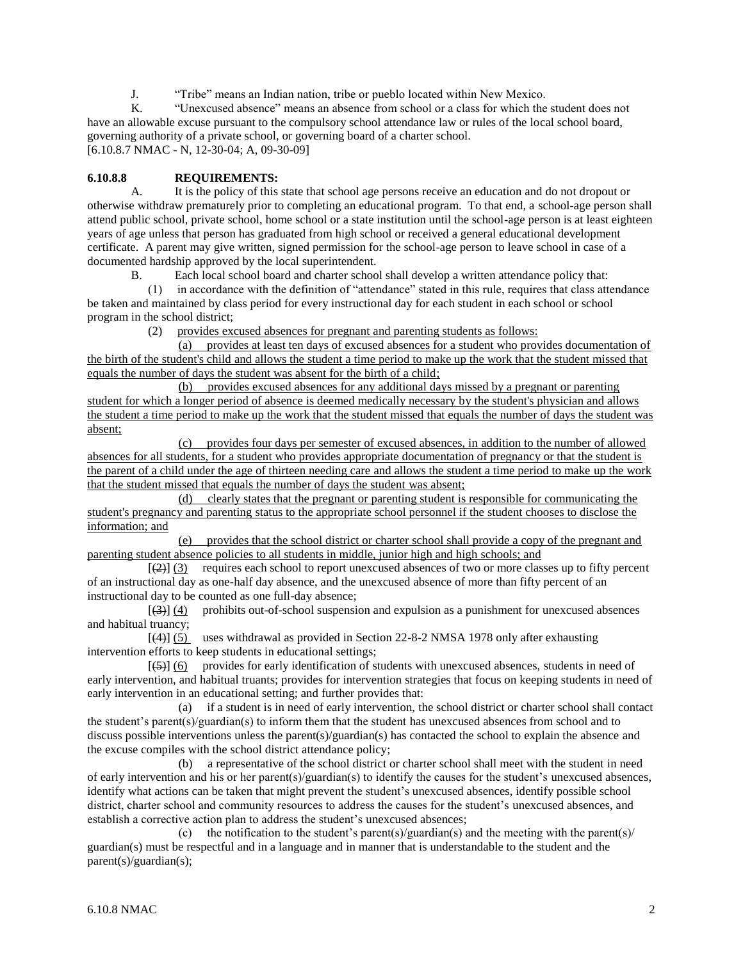J. "Tribe" means an Indian nation, tribe or pueblo located within New Mexico.<br>K "Unexcused absence" means an absence from school or a class for which the

K. "Unexcused absence" means an absence from school or a class for which the student does not have an allowable excuse pursuant to the compulsory school attendance law or rules of the local school board, governing authority of a private school, or governing board of a charter school. [6.10.8.7 NMAC - N, 12-30-04; A, 09-30-09]

## **6.10.8.8 REQUIREMENTS:**

A. It is the policy of this state that school age persons receive an education and do not dropout or otherwise withdraw prematurely prior to completing an educational program. To that end, a school-age person shall attend public school, private school, home school or a state institution until the school-age person is at least eighteen years of age unless that person has graduated from high school or received a general educational development certificate. A parent may give written, signed permission for the school-age person to leave school in case of a documented hardship approved by the local superintendent.

B. Each local school board and charter school shall develop a written attendance policy that:

 (1) in accordance with the definition of "attendance" stated in this rule, requires that class attendance be taken and maintained by class period for every instructional day for each student in each school or school program in the school district;

(2) provides excused absences for pregnant and parenting students as follows:

 (a) provides at least ten days of excused absences for a student who provides documentation of the birth of the student's child and allows the student a time period to make up the work that the student missed that equals the number of days the student was absent for the birth of a child;

 (b) provides excused absences for any additional days missed by a pregnant or parenting student for which a longer period of absence is deemed medically necessary by the student's physician and allows the student a time period to make up the work that the student missed that equals the number of days the student was absent;

 (c) provides four days per semester of excused absences, in addition to the number of allowed absences for all students, for a student who provides appropriate documentation of pregnancy or that the student is the parent of a child under the age of thirteen needing care and allows the student a time period to make up the work that the student missed that equals the number of days the student was absent;

 (d) clearly states that the pregnant or parenting student is responsible for communicating the student's pregnancy and parenting status to the appropriate school personnel if the student chooses to disclose the information; and

 (e) provides that the school district or charter school shall provide a copy of the pregnant and parenting student absence policies to all students in middle, junior high and high schools; and

 $[\frac{2}{2}]$  (3) requires each school to report unexcused absences of two or more classes up to fifty percent of an instructional day as one-half day absence, and the unexcused absence of more than fifty percent of an instructional day to be counted as one full-day absence;

 [(3)] (4) prohibits out-of-school suspension and expulsion as a punishment for unexcused absences and habitual truancy;

 [(4)] (5) uses withdrawal as provided in Section 22-8-2 NMSA 1978 only after exhausting intervention efforts to keep students in educational settings;

 $[66]$  provides for early identification of students with unexcused absences, students in need of early intervention, and habitual truants; provides for intervention strategies that focus on keeping students in need of early intervention in an educational setting; and further provides that:

 (a) if a student is in need of early intervention, the school district or charter school shall contact the student's parent(s)/guardian(s) to inform them that the student has unexcused absences from school and to discuss possible interventions unless the parent(s)/guardian(s) has contacted the school to explain the absence and the excuse compiles with the school district attendance policy;

 (b) a representative of the school district or charter school shall meet with the student in need of early intervention and his or her parent(s)/guardian(s) to identify the causes for the student's unexcused absences, identify what actions can be taken that might prevent the student's unexcused absences, identify possible school district, charter school and community resources to address the causes for the student's unexcused absences, and establish a corrective action plan to address the student's unexcused absences;

(c) the notification to the student's parent(s)/guardian(s) and the meeting with the parent(s)/ guardian(s) must be respectful and in a language and in manner that is understandable to the student and the parent(s)/guardian(s);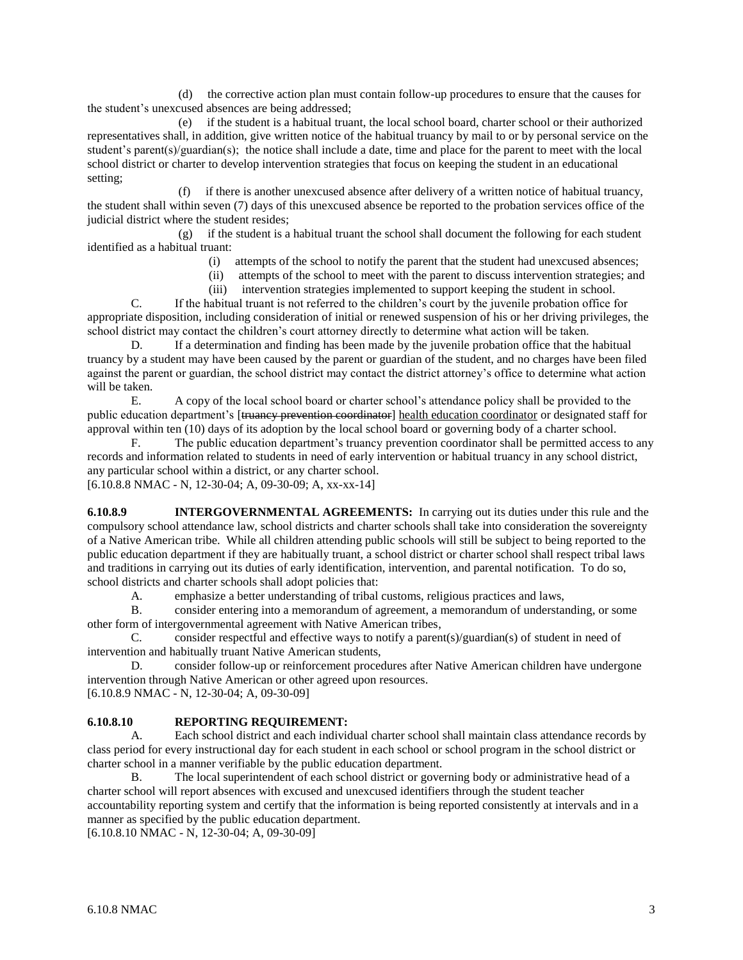(d) the corrective action plan must contain follow-up procedures to ensure that the causes for the student's unexcused absences are being addressed;

 (e) if the student is a habitual truant, the local school board, charter school or their authorized representatives shall, in addition, give written notice of the habitual truancy by mail to or by personal service on the student's parent(s)/guardian(s); the notice shall include a date, time and place for the parent to meet with the local school district or charter to develop intervention strategies that focus on keeping the student in an educational setting;

 (f) if there is another unexcused absence after delivery of a written notice of habitual truancy, the student shall within seven (7) days of this unexcused absence be reported to the probation services office of the judicial district where the student resides;

 (g) if the student is a habitual truant the school shall document the following for each student identified as a habitual truant:

- (i) attempts of the school to notify the parent that the student had unexcused absences;
- (ii) attempts of the school to meet with the parent to discuss intervention strategies; and
- (iii) intervention strategies implemented to support keeping the student in school.

C. If the habitual truant is not referred to the children's court by the juvenile probation office for appropriate disposition, including consideration of initial or renewed suspension of his or her driving privileges, the school district may contact the children's court attorney directly to determine what action will be taken.

D. If a determination and finding has been made by the juvenile probation office that the habitual truancy by a student may have been caused by the parent or guardian of the student, and no charges have been filed against the parent or guardian, the school district may contact the district attorney's office to determine what action will be taken.

E. A copy of the local school board or charter school's attendance policy shall be provided to the public education department's [truancy prevention coordinator] health education coordinator or designated staff for approval within ten (10) days of its adoption by the local school board or governing body of a charter school.

F. The public education department's truancy prevention coordinator shall be permitted access to any records and information related to students in need of early intervention or habitual truancy in any school district, any particular school within a district, or any charter school.

[6.10.8.8 NMAC - N, 12-30-04; A, 09-30-09; A, xx-xx-14]

**6.10.8.9 INTERGOVERNMENTAL AGREEMENTS:** In carrying out its duties under this rule and the compulsory school attendance law, school districts and charter schools shall take into consideration the sovereignty of a Native American tribe. While all children attending public schools will still be subject to being reported to the public education department if they are habitually truant, a school district or charter school shall respect tribal laws and traditions in carrying out its duties of early identification, intervention, and parental notification. To do so, school districts and charter schools shall adopt policies that:

A. emphasize a better understanding of tribal customs, religious practices and laws,

B. consider entering into a memorandum of agreement, a memorandum of understanding, or some other form of intergovernmental agreement with Native American tribes,

C. consider respectful and effective ways to notify a parent(s)/guardian(s) of student in need of intervention and habitually truant Native American students,

D. consider follow-up or reinforcement procedures after Native American children have undergone intervention through Native American or other agreed upon resources. [6.10.8.9 NMAC - N, 12-30-04; A, 09-30-09]

## **6.10.8.10 REPORTING REQUIREMENT:**

A. Each school district and each individual charter school shall maintain class attendance records by class period for every instructional day for each student in each school or school program in the school district or charter school in a manner verifiable by the public education department.

B. The local superintendent of each school district or governing body or administrative head of a charter school will report absences with excused and unexcused identifiers through the student teacher accountability reporting system and certify that the information is being reported consistently at intervals and in a manner as specified by the public education department.

[6.10.8.10 NMAC - N, 12-30-04; A, 09-30-09]